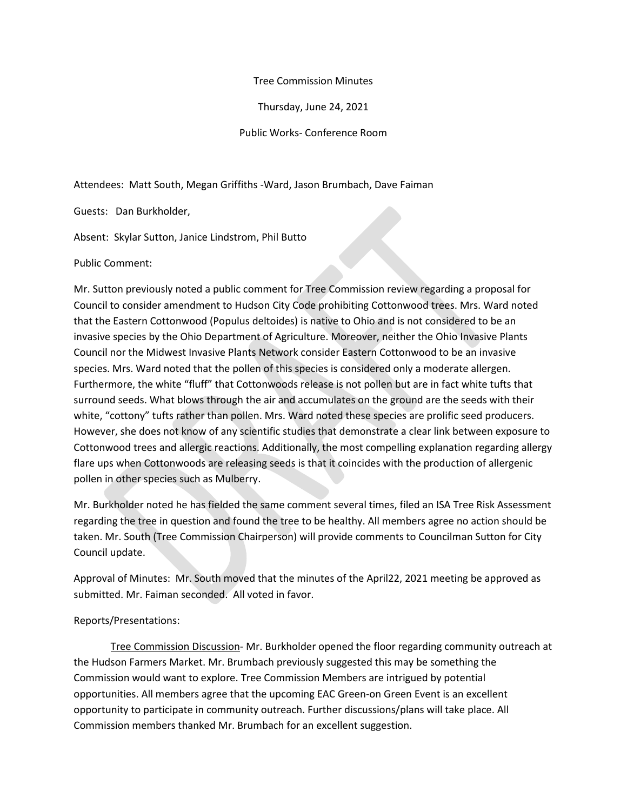## Tree Commission Minutes

Thursday, June 24, 2021

Public Works- Conference Room

Attendees: Matt South, Megan Griffiths -Ward, Jason Brumbach, Dave Faiman

Guests: Dan Burkholder,

Absent: Skylar Sutton, Janice Lindstrom, Phil Butto

Public Comment:

Mr. Sutton previously noted a public comment for Tree Commission review regarding a proposal for Council to consider amendment to Hudson City Code prohibiting Cottonwood trees. Mrs. Ward noted that the Eastern Cottonwood (Populus deltoides) is native to Ohio and is not considered to be an invasive species by the Ohio Department of Agriculture. Moreover, neither the Ohio Invasive Plants Council nor the Midwest Invasive Plants Network consider Eastern Cottonwood to be an invasive species. Mrs. Ward noted that the pollen of this species is considered only a moderate allergen. Furthermore, the white "fluff" that Cottonwoods release is not pollen but are in fact white tufts that surround seeds. What blows through the air and accumulates on the ground are the seeds with their white, "cottony" tufts rather than pollen. Mrs. Ward noted these species are prolific seed producers. However, she does not know of any scientific studies that demonstrate a clear link between exposure to Cottonwood trees and allergic reactions. Additionally, the most compelling explanation regarding allergy flare ups when Cottonwoods are releasing seeds is that it coincides with the production of allergenic pollen in other species such as Mulberry.

Mr. Burkholder noted he has fielded the same comment several times, filed an ISA Tree Risk Assessment regarding the tree in question and found the tree to be healthy. All members agree no action should be taken. Mr. South (Tree Commission Chairperson) will provide comments to Councilman Sutton for City Council update.

Approval of Minutes: Mr. South moved that the minutes of the April22, 2021 meeting be approved as submitted. Mr. Faiman seconded. All voted in favor.

## Reports/Presentations:

Tree Commission Discussion- Mr. Burkholder opened the floor regarding community outreach at the Hudson Farmers Market. Mr. Brumbach previously suggested this may be something the Commission would want to explore. Tree Commission Members are intrigued by potential opportunities. All members agree that the upcoming EAC Green-on Green Event is an excellent opportunity to participate in community outreach. Further discussions/plans will take place. All Commission members thanked Mr. Brumbach for an excellent suggestion.